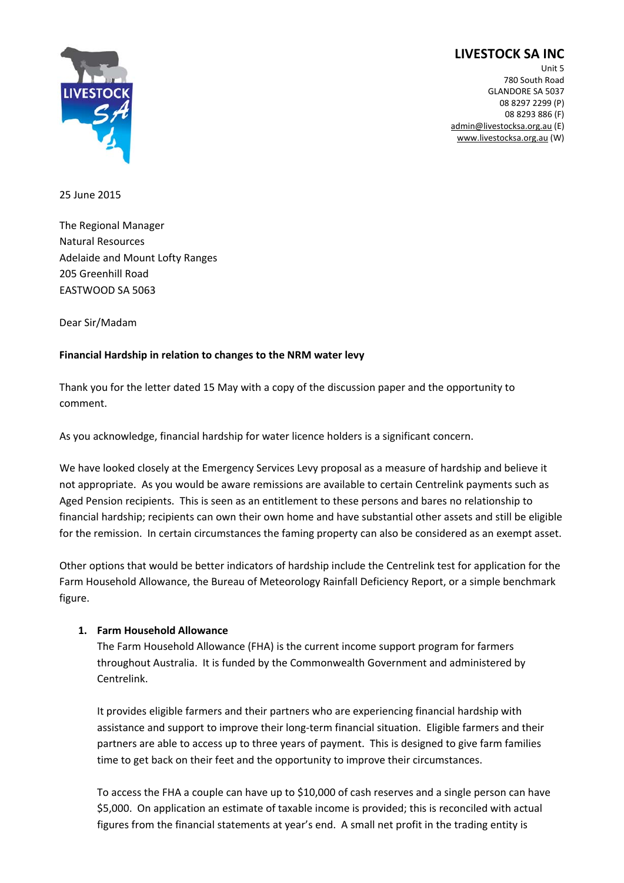# **LIVESTOCK SA INC**



Unit 5 780 South Road GLANDORE SA 5037 08 8297 2299 (P) 08 8293 886 (F) admin@livestocksa.org.au (E) www.livestocksa.org.au (W)

25 June 2015

The Regional Manager Natural Resources Adelaide and Mount Lofty Ranges 205 Greenhill Road EASTWOOD SA 5063

Dear Sir/Madam

#### **Financial Hardship in relation to changes to the NRM water levy**

Thank you for the letter dated 15 May with a copy of the discussion paper and the opportunity to comment.

As you acknowledge, financial hardship for water licence holders is a significant concern.

We have looked closely at the Emergency Services Levy proposal as a measure of hardship and believe it not appropriate. As you would be aware remissions are available to certain Centrelink payments such as Aged Pension recipients. This is seen as an entitlement to these persons and bares no relationship to financial hardship; recipients can own their own home and have substantial other assets and still be eligible for the remission. In certain circumstances the faming property can also be considered as an exempt asset.

Other options that would be better indicators of hardship include the Centrelink test for application for the Farm Household Allowance, the Bureau of Meteorology Rainfall Deficiency Report, or a simple benchmark figure.

#### **1. Farm Household Allowance**

The Farm Household Allowance (FHA) is the current income support program for farmers throughout Australia. It is funded by the Commonwealth Government and administered by Centrelink.

It provides eligible farmers and their partners who are experiencing financial hardship with assistance and support to improve their long‐term financial situation. Eligible farmers and their partners are able to access up to three years of payment. This is designed to give farm families time to get back on their feet and the opportunity to improve their circumstances.

To access the FHA a couple can have up to \$10,000 of cash reserves and a single person can have \$5,000. On application an estimate of taxable income is provided; this is reconciled with actual figures from the financial statements at year's end. A small net profit in the trading entity is